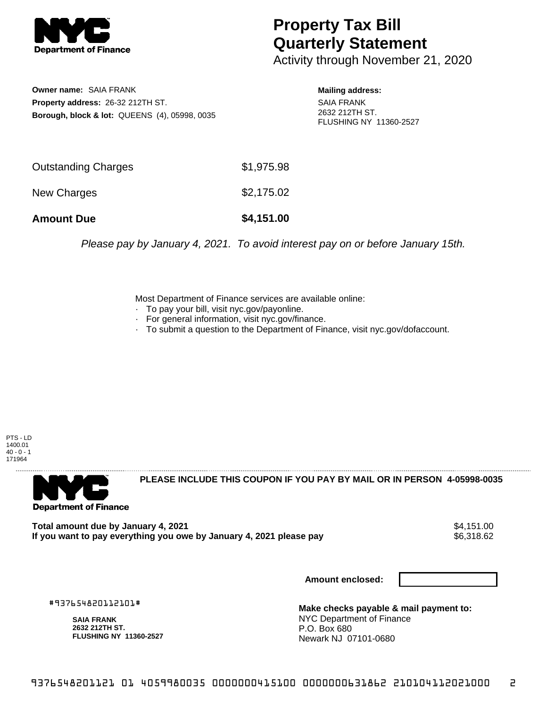

## **Property Tax Bill Quarterly Statement**

Activity through November 21, 2020

**Owner name:** SAIA FRANK **Property address:** 26-32 212TH ST. **Borough, block & lot:** QUEENS (4), 05998, 0035

## **Mailing address:**

SAIA FRANK 2632 212TH ST. FLUSHING NY 11360-2527

| <b>Amount Due</b>          | \$4,151.00 |
|----------------------------|------------|
| New Charges                | \$2,175.02 |
| <b>Outstanding Charges</b> | \$1,975.98 |

Please pay by January 4, 2021. To avoid interest pay on or before January 15th.

Most Department of Finance services are available online:

- · To pay your bill, visit nyc.gov/payonline.
- For general information, visit nyc.gov/finance.
- · To submit a question to the Department of Finance, visit nyc.gov/dofaccount.

PTS - LD 1400.01  $40 - 0 - 1$ 171964



**PLEASE INCLUDE THIS COUPON IF YOU PAY BY MAIL OR IN PERSON 4-05998-0035** 

Total amount due by January 4, 2021<br>If you want to pay everything you owe by January 4, 2021 please pay **show that the set of the set of the set of** If you want to pay everything you owe by January 4, 2021 please pay

**Amount enclosed:**

#937654820112101#

**SAIA FRANK 2632 212TH ST. FLUSHING NY 11360-2527**

**Make checks payable & mail payment to:** NYC Department of Finance P.O. Box 680 Newark NJ 07101-0680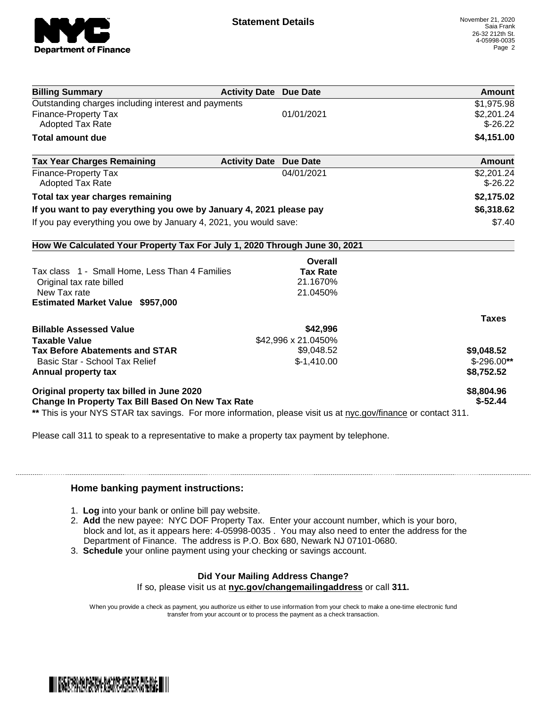

| <b>Billing Summary</b>                                                                                         | <b>Activity Date Due Date</b> | Amount       |
|----------------------------------------------------------------------------------------------------------------|-------------------------------|--------------|
| Outstanding charges including interest and payments                                                            |                               | \$1,975.98   |
| Finance-Property Tax                                                                                           | 01/01/2021                    | \$2,201.24   |
| Adopted Tax Rate                                                                                               |                               | $$-26.22$    |
| <b>Total amount due</b>                                                                                        |                               | \$4,151.00   |
| <b>Tax Year Charges Remaining</b>                                                                              | <b>Activity Date Due Date</b> | Amount       |
| <b>Finance-Property Tax</b>                                                                                    | 04/01/2021                    | \$2,201.24   |
| <b>Adopted Tax Rate</b>                                                                                        |                               | $$-26.22$    |
| Total tax year charges remaining                                                                               |                               | \$2,175.02   |
| If you want to pay everything you owe by January 4, 2021 please pay                                            |                               | \$6,318.62   |
| If you pay everything you owe by January 4, 2021, you would save:                                              |                               | \$7.40       |
| How We Calculated Your Property Tax For July 1, 2020 Through June 30, 2021                                     |                               |              |
|                                                                                                                | Overall                       |              |
| Tax class 1 - Small Home, Less Than 4 Families                                                                 | <b>Tax Rate</b>               |              |
| Original tax rate billed                                                                                       | 21.1670%                      |              |
| New Tax rate                                                                                                   | 21.0450%                      |              |
| <b>Estimated Market Value \$957,000</b>                                                                        |                               |              |
|                                                                                                                |                               | <b>Taxes</b> |
| <b>Billable Assessed Value</b>                                                                                 | \$42,996                      |              |
| <b>Taxable Value</b>                                                                                           | \$42,996 x 21.0450%           |              |
| <b>Tax Before Abatements and STAR</b>                                                                          | \$9,048.52                    | \$9,048.52   |
| Basic Star - School Tax Relief                                                                                 | $$-1,410.00$                  | $$-296.00**$ |
| Annual property tax                                                                                            |                               | \$8,752.52   |
| Original property tax billed in June 2020                                                                      |                               | \$8,804.96   |
| Change In Property Tax Bill Based On New Tax Rate                                                              |                               | $$-52.44$    |
| ** This is your NYS STAR tax savings. For more information, please visit us at nyc.gov/finance or contact 311. |                               |              |

Please call 311 to speak to a representative to make a property tax payment by telephone.

## **Home banking payment instructions:**

- 1. **Log** into your bank or online bill pay website.
- 2. **Add** the new payee: NYC DOF Property Tax. Enter your account number, which is your boro, block and lot, as it appears here: 4-05998-0035 . You may also need to enter the address for the Department of Finance. The address is P.O. Box 680, Newark NJ 07101-0680.
- 3. **Schedule** your online payment using your checking or savings account.

## **Did Your Mailing Address Change?**

If so, please visit us at **nyc.gov/changemailingaddress** or call **311.**

When you provide a check as payment, you authorize us either to use information from your check to make a one-time electronic fund transfer from your account or to process the payment as a check transaction.